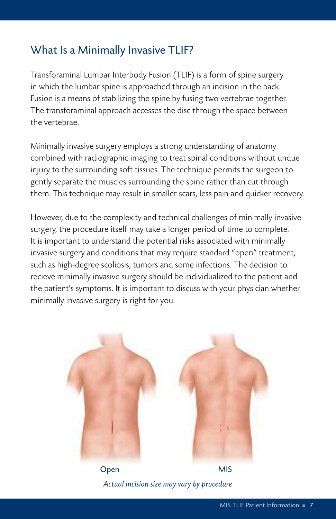## What Is a Minimally Invasive TLIF?

Transforaminal Lumbar Interbody Fusion (TLIF) is a form of spine surgery in which the lumbar spine is approached through an incision in the back. Fusion is a means of stabilizing the spine by fusing two vertebrae together. The transforaminal approach accesses the disc through the space between the vertebrae.

Minimally invasive surgery employs a strong understanding of anatomy combined with radiographic imaging to treat spinal conditions without undue injury to the surrounding soft tissues. The technique permits the surgeon to gently separate the muscles surrounding the spine rather than cut through them. This technique may result in smaller scars, less pain and quicker recovery.

However, due to the complexity and technical challenges of minimally invasive surgery, the procedure itself may take a longer period of time to complete. It is important to understand the potential risks associated with minimally invasive surgery and conditions that may require standard "open" treatment, such as high-degree scoliosis, tumors and some infections. The decision to recieve minimally invasive surgery should be individualized to the patient and the patient's symptoms. It is important to discuss with your physician whether minimally invasive surgery is right for you.



*Actual incision size may vary by procedure*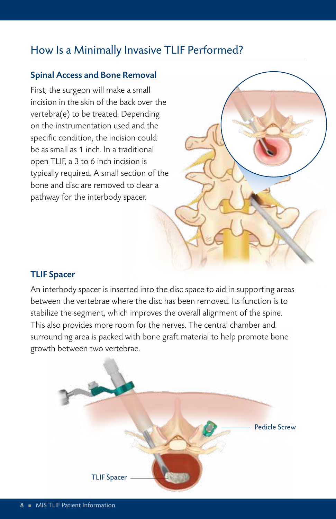### How Is a Minimally Invasive TLIF Performed?

#### Spinal Access and Bone Removal

First, the surgeon will make a small incision in the skin of the back over the vertebra(e) to be treated. Depending on the instrumentation used and the specific condition, the incision could be as small as 1 inch. In a traditional open TLIF, a 3 to 6 inch incision is typically required. A small section of the bone and disc are removed to clear a pathway for the interbody spacer.

#### TLIF Spacer

An interbody spacer is inserted into the disc space to aid in supporting areas between the vertebrae where the disc has been removed. Its function is to stabilize the segment, which improves the overall alignment of the spine. This also provides more room for the nerves. The central chamber and surrounding area is packed with bone graft material to help promote bone growth between two vertebrae.